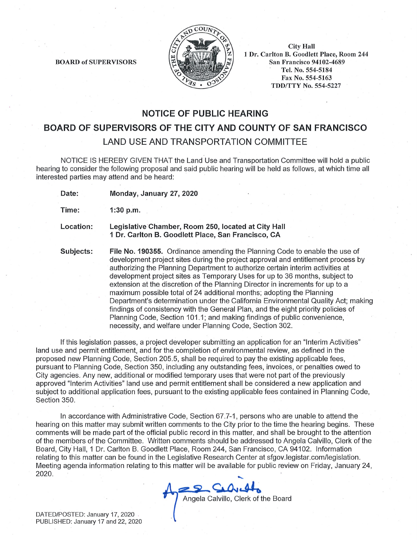

**BOARD of SUPERVISORS** 

**City Hall** 1 Dr. Carlton B. Goodlett Place, Room 244 San Francisco 94102-4689 Tel. No. 554-5184 Fax No. 554-5163 **TDD/TTY No. 554-5227** 

### **NOTICE OF PUBLIC HEARING**

**BOARD OF SUPERVISORS OF THE CITY AND COUNTY OF SAN FRANCISCO** 

LAND USE AND TRANSPORTATION COMMITTEE

NOTICE IS HEREBY GIVEN THAT the Land Use and Transportation Committee will hold a public hearing to consider the following proposal and said public hearing will be held as follows, at which time all interested parties may attend and be heard:

Monday, January 27, 2020 Date:

Time:  $1:30$  p.m.

Location: Legislative Chamber, Room 250, located at City Hall 1 Dr. Carlton B. Goodlett Place, San Francisco, CA

Subjects: File No. 190355. Ordinance amending the Planning Code to enable the use of development project sites during the project approval and entitlement process by authorizing the Planning Department to authorize certain interim activities at development project sites as Temporary Uses for up to 36 months, subject to extension at the discretion of the Planning Director in increments for up to a maximum possible total of 24 additional months; adopting the Planning Department's determination under the California Environmental Quality Act; making findings of consistency with the General Plan, and the eight priority policies of Planning Code, Section 101.1; and making findings of public convenience, necessity, and welfare under Planning Code, Section 302.

If this legislation passes, a project developer submitting an application for an "Interim Activities" land use and permit entitlement, and for the completion of environmental review, as defined in the proposed new Planning Code, Section 205.5, shall be required to pay the existing applicable fees. pursuant to Planning Code, Section 350, including any outstanding fees, invoices, or penalties owed to City agencies. Any new, additional or modified temporary uses that were not part of the previously approved "Interim Activities" land use and permit entitlement shall be considered a new application and subject to additional application fees, pursuant to the existing applicable fees contained in Planning Code, Section 350.

In accordance with Administrative Code, Section 67.7-1, persons who are unable to attend the hearing on this matter may submit written comments to the City prior to the time the hearing begins. These comments will be made part of the official public record in this matter, and shall be brought to the attention of the members of the Committee. Written comments should be addressed to Angela Calvillo, Clerk of the Board, City Hall, 1 Dr. Carlton B. Goodlett Place, Room 244, San Francisco, CA 94102. Information relating to this matter can be found in the Legislative Research Center at sfgov.legistar.com/legislation. Meeting agenda information relating to this matter will be available for public review on Friday, January 24, 2020.

Angela Calvillo, Clerk of the Board

DATED/POSTED: January 17, 2020 PUBLISHED: January 17 and 22, 2020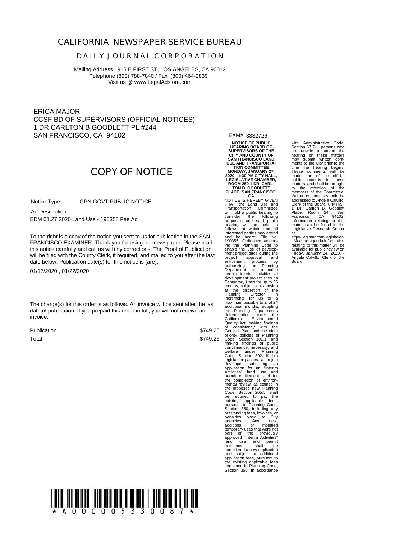#### **CALIFORNIA NEWSPAPER SERVICE BUREAU**

#### **D A I L Y J O U R N A L C O R P O R A T I O N**

Mailing Address : 915 E FIRST ST, LOS ANGELES, CA 90012 Telephone (800) 788-7840 / Fax (800) 464-2839 Visit us @ www.LegalAdstore.com

ERICA MAJOR CCSF BD OF SUPERVISORS (OFFICIAL NOTICES) 1 DR CARLTON B GOODLETT PL #244 SAN FRANCISCO, CA 94102

EXM# 3332726

# **COPY OF NOTICE**

 GPN GOVT PUBLIC NOTICE Notice Type:

 EDM 01.27.2020 Land Use - 190355 Fee Ad Ad Description

FRANCISCO EXAMINER. Thank you for using our newspaper. Please read<br>this notice carefully and call us with ny corrections. The Proof of Publication To the right is a copy of the notice you sent to us for publication in the SAN FRANCISCO EXAMINER. Thank you for using our newspaper. Please read will be filed with the County Clerk, if required, and mailed to you after the last date below. Publication date(s) for this notice is (are):

01/17/2020 , 01/22/2020

The charge(s) for this order is as follows. An invoice will be sent after the last date of publication. If you prepaid this order in full, you will not receive an invoice.

Publication Total

\$749.25 \$749.25

**NOTICE OF PUBLIC HEARING BOARD OF SUPERVISORS OF THE CITY AND COUNTY OF SAN FRANCISCO LAND**

USE AND TRANSPORTA-<br>TION COMMITTEE<br>MONDAY, JANUARY 27,<br>2020 - 1:30 PM CITY HALL,<br>LEGISLATIVE CHAMBER,<br>ROOM 250 1 DR. CARL-<br>TON B. GOODLETT

**PLACE, SAN FRANCISCO, CA** NOTICE IS HEREBY GIVEN THAT the Land Use and<br>Transportation Committee<br>will hold a public hearing to<br>consider the following proposals and said public<br>hearing will be held as<br>follows, at which time all<br>interested parties may attend<br>190355. Ordinan ment project sites during the project approval and entitlement process by authorizing the Planning Department to authorize certain interim activities at development project sites as Temporary Uses for up to 36 months, subject to extension at the discretion of the Planning Director in increments for up to a maximum possible total of 24 maximum possible total of additional months; adopting<br>the Planning Department's<br>determination under the California Environmental<br>Quality Act; making findings of consistency with the Code, Section 101.1; and<br>making findings of public<br>convenience, necessity, and<br>welfare under Planning<br>Code, Section 302. If this Code, Section 302. If this<br>legislation passes, a project<br>developer submitting an<br>application for an "Interim<br>activities" land use and<br>permit entitlement, and for<br>the completion of environ-<br>mental review, as defined in Code, Section 205.5, shall<br>be required to pay the<br>existing applicable fees,<br>pursuant to Planning Code,<br>Section 350, including any<br>outstanding fees, invoices, or<br>penalties owed to City<br>agencies. Any new,<br>additional or modif agencies. Any new,<br>additional or modified<br>temporary uses that were not part of the previously approved "Interim Activities" land use and permit entitlement shall be considered a new application and subject to additional application fees, pursuant to the existing applicable fees contained in Planning Code, Section 350. In accordance

with Administrative Code Section 67.7-1, persons who<br>hearing on these matters<br>may submit written com-<br>ments to the City prior to the<br>time the hearing begins.<br>These comments will be made part of the official public records in these matters, and shall be brought to the attention of the members of the Committee. Written comments should be addressed to Angela Calvillo, Clerk of the Board, City Hall, 1 Dr. Carlton B. Goodlett Place, Room 244, San Francisco, CA 94102. Information relating to this matter can be found in the Legislative Research Center

at<br>sfgov.legistar.com/legislation<br>relating to this matter will be<br>available for public review on<br>Friday, January 24, 2020.<br>Friday, January 24, 2020.<br>Angela Calvillo, Clerk of the<br>Board.